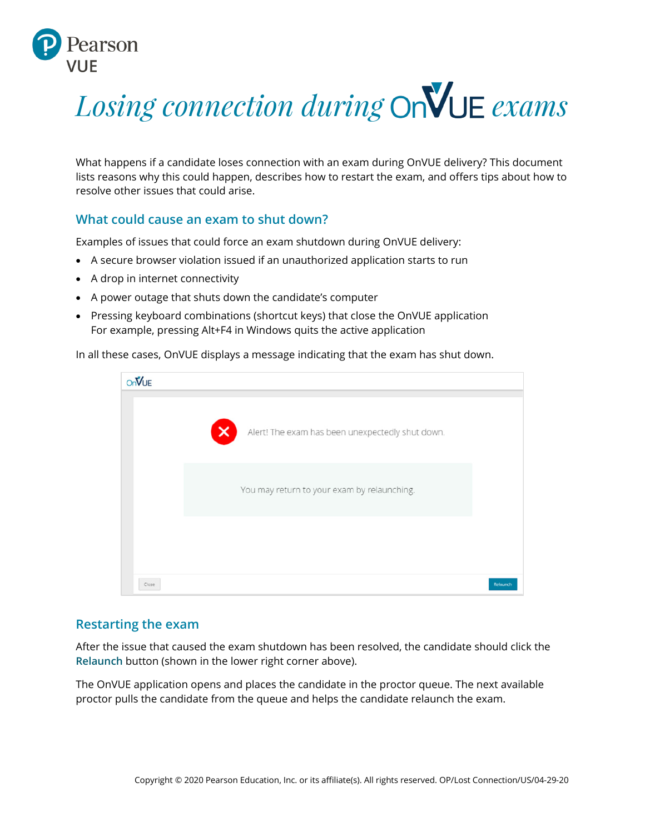

# *Losing connection during* OnVUE exams

What happens if a candidate loses connection with an exam during OnVUE delivery? This document lists reasons why this could happen, describes how to restart the exam, and offers tips about how to resolve other issues that could arise.

## **What could cause an exam to shut down?**

Examples of issues that could force an exam shutdown during OnVUE delivery:

- A secure browser violation issued if an unauthorized application starts to run
- A drop in internet connectivity
- A power outage that shuts down the candidate's computer
- Pressing keyboard combinations (shortcut keys) that close the OnVUE application For example, pressing Alt+F4 in Windows quits the active application

In all these cases, OnVUE displays a message indicating that the exam has shut down.



### **Restarting the exam**

After the issue that caused the exam shutdown has been resolved, the candidate should click the **Relaunch** button (shown in the lower right corner above).

The OnVUE application opens and places the candidate in the proctor queue. The next available proctor pulls the candidate from the queue and helps the candidate relaunch the exam.